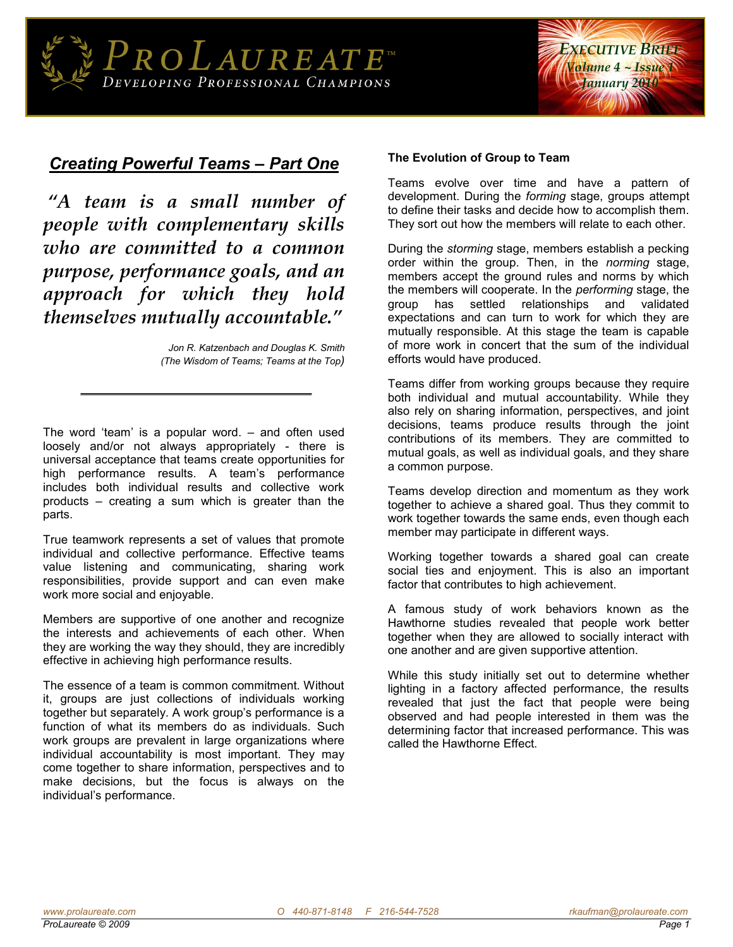

## *Creating Powerful Teams – Part One*

*"A team is a small number of people with complementary skills who are committed to a common purpose, performance goals, and an approach for which they hold themselves mutually accountable."*

> *Jon R. Katzenbach and Douglas K. Smith (The Wisdom of Teams; Teams at the Top)*

The word 'team' is a popular word. – and often used loosely and/or not always appropriately - there is universal acceptance that teams create opportunities for high performance results. A team's performance includes both individual results and collective work products – creating a sum which is greater than the parts.

True teamwork represents a set of values that promote individual and collective performance. Effective teams value listening and communicating, sharing work responsibilities, provide support and can even make work more social and enjoyable.

Members are supportive of one another and recognize the interests and achievements of each other. When they are working the way they should, they are incredibly effective in achieving high performance results.

The essence of a team is common commitment. Without it, groups are just collections of individuals working together but separately. A work group's performance is a function of what its members do as individuals. Such work groups are prevalent in large organizations where individual accountability is most important. They may come together to share information, perspectives and to make decisions, but the focus is always on the individual's performance.

## **The Evolution of Group to Team**

Teams evolve over time and have a pattern of development. During the *forming* stage, groups attempt to define their tasks and decide how to accomplish them. They sort out how the members will relate to each other.

During the *storming* stage, members establish a pecking order within the group. Then, in the *norming* stage, members accept the ground rules and norms by which the members will cooperate. In the *performing* stage, the group has settled relationships and validated expectations and can turn to work for which they are mutually responsible. At this stage the team is capable of more work in concert that the sum of the individual efforts would have produced.

Teams differ from working groups because they require both individual and mutual accountability. While they also rely on sharing information, perspectives, and joint decisions, teams produce results through the joint contributions of its members. They are committed to mutual goals, as well as individual goals, and they share a common purpose.

Teams develop direction and momentum as they work together to achieve a shared goal. Thus they commit to work together towards the same ends, even though each member may participate in different ways.

Working together towards a shared goal can create social ties and enjoyment. This is also an important factor that contributes to high achievement.

A famous study of work behaviors known as the Hawthorne studies revealed that people work better together when they are allowed to socially interact with one another and are given supportive attention.

While this study initially set out to determine whether lighting in a factory affected performance, the results revealed that just the fact that people were being observed and had people interested in them was the determining factor that increased performance. This was called the Hawthorne Effect.